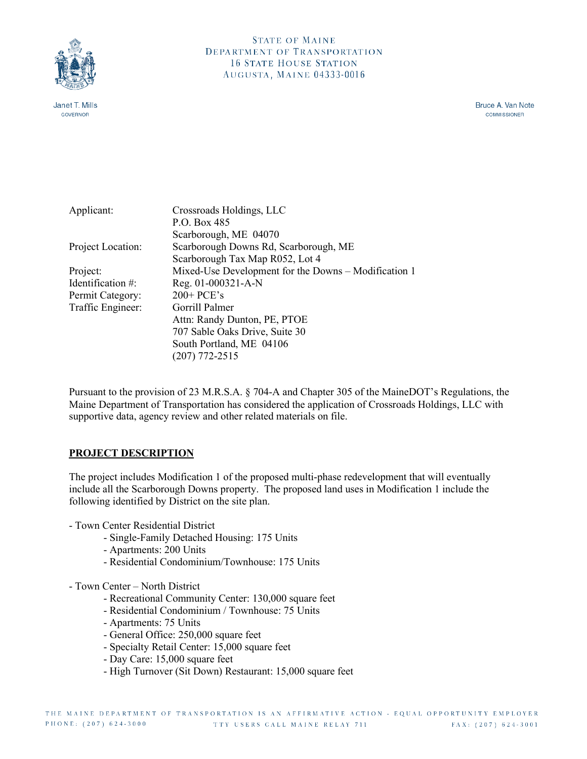

Janet T. Mills **GOVERNOR** 

Bruce A. Van Note **COMMISSIONER** 

| Applicant:        | Crossroads Holdings, LLC                             |
|-------------------|------------------------------------------------------|
|                   | P.O. Box 485                                         |
|                   | Scarborough, ME 04070                                |
| Project Location: | Scarborough Downs Rd, Scarborough, ME                |
|                   | Scarborough Tax Map R052, Lot 4                      |
| Project:          | Mixed-Use Development for the Downs – Modification 1 |
| Identification #: | Reg. 01-000321-A-N                                   |
| Permit Category:  | $200+$ PCE's                                         |
| Traffic Engineer: | Gorrill Palmer                                       |
|                   | Attn: Randy Dunton, PE, PTOE                         |
|                   | 707 Sable Oaks Drive, Suite 30                       |
|                   | South Portland, ME 04106                             |
|                   | $(207)$ 772-2515                                     |
|                   |                                                      |

Pursuant to the provision of 23 M.R.S.A. § 704-A and Chapter 305 of the MaineDOT's Regulations, the Maine Department of Transportation has considered the application of Crossroads Holdings, LLC with supportive data, agency review and other related materials on file.

# **PROJECT DESCRIPTION**

The project includes Modification 1 of the proposed multi-phase redevelopment that will eventually include all the Scarborough Downs property. The proposed land uses in Modification 1 include the following identified by District on the site plan.

- Town Center Residential District
	- Single-Family Detached Housing: 175 Units
	- Apartments: 200 Units
	- Residential Condominium/Townhouse: 175 Units
- Town Center North District
	- Recreational Community Center: 130,000 square feet
	- Residential Condominium / Townhouse: 75 Units
	- Apartments: 75 Units
	- General Office: 250,000 square feet
	- Specialty Retail Center: 15,000 square feet
	- Day Care: 15,000 square feet
	- High Turnover (Sit Down) Restaurant: 15,000 square feet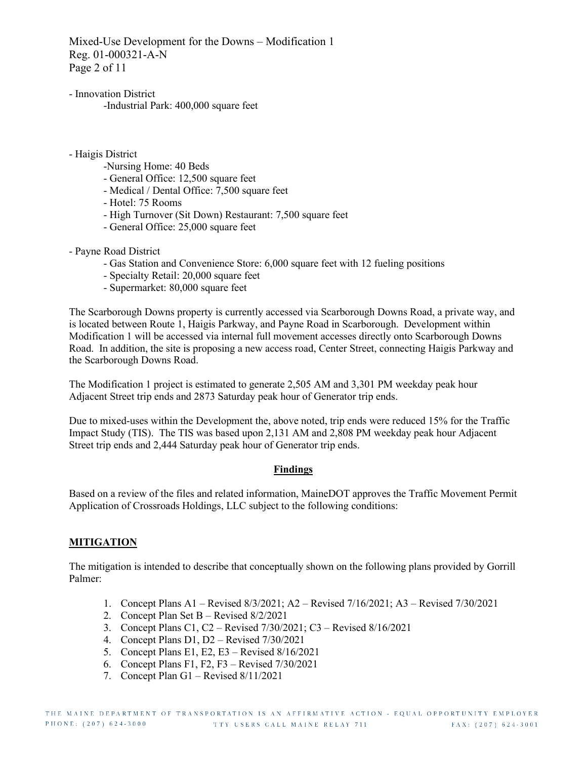Mixed-Use Development for the Downs – Modification 1 Reg. 01-000321-A-N Page 2 of 11

- Innovation District -Industrial Park: 400,000 square feet
- Haigis District
	- -Nursing Home: 40 Beds
	- General Office: 12,500 square feet
	- Medical / Dental Office: 7,500 square feet
	- Hotel: 75 Rooms
	- High Turnover (Sit Down) Restaurant: 7,500 square feet
	- General Office: 25,000 square feet
- Payne Road District
	- Gas Station and Convenience Store: 6,000 square feet with 12 fueling positions
	- Specialty Retail: 20,000 square feet
	- Supermarket: 80,000 square feet

The Scarborough Downs property is currently accessed via Scarborough Downs Road, a private way, and is located between Route 1, Haigis Parkway, and Payne Road in Scarborough. Development within Modification 1 will be accessed via internal full movement accesses directly onto Scarborough Downs Road. In addition, the site is proposing a new access road, Center Street, connecting Haigis Parkway and the Scarborough Downs Road.

The Modification 1 project is estimated to generate 2,505 AM and 3,301 PM weekday peak hour Adjacent Street trip ends and 2873 Saturday peak hour of Generator trip ends.

Due to mixed-uses within the Development the, above noted, trip ends were reduced 15% for the Traffic Impact Study (TIS). The TIS was based upon 2,131 AM and 2,808 PM weekday peak hour Adjacent Street trip ends and 2,444 Saturday peak hour of Generator trip ends.

## **Findings**

Based on a review of the files and related information, MaineDOT approves the Traffic Movement Permit Application of Crossroads Holdings, LLC subject to the following conditions:

# **MITIGATION**

The mitigation is intended to describe that conceptually shown on the following plans provided by Gorrill Palmer:

- 1. Concept Plans A1 Revised 8/3/2021; A2 Revised 7/16/2021; A3 Revised 7/30/2021
- 2. Concept Plan Set B Revised 8/2/2021
- 3. Concept Plans C1, C2 Revised 7/30/2021; C3 Revised 8/16/2021
- 4. Concept Plans D1, D2 Revised 7/30/2021
- 5. Concept Plans E1, E2, E3 Revised 8/16/2021
- 6. Concept Plans F1, F2, F3 Revised 7/30/2021
- 7. Concept Plan G1 Revised 8/11/2021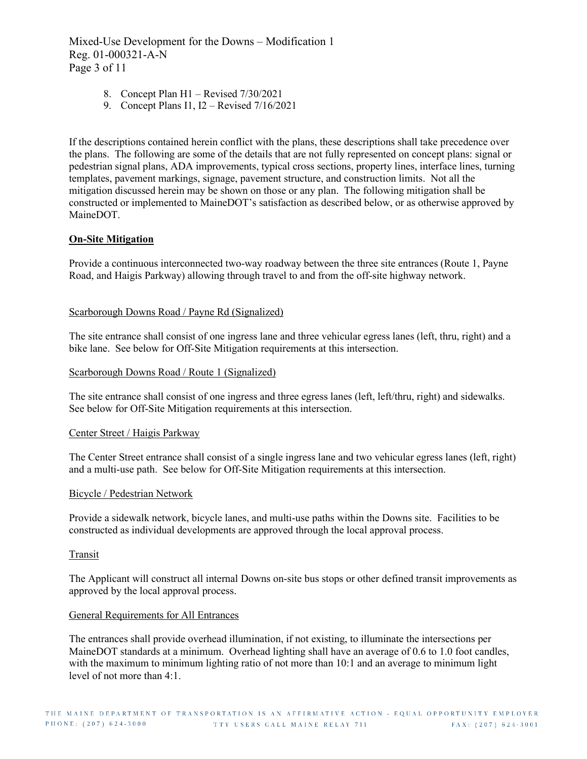Mixed-Use Development for the Downs – Modification 1 Reg. 01-000321-A-N Page 3 of 11

- 8. Concept Plan H1 Revised 7/30/2021
- 9. Concept Plans I1, I2 Revised 7/16/2021

If the descriptions contained herein conflict with the plans, these descriptions shall take precedence over the plans. The following are some of the details that are not fully represented on concept plans: signal or pedestrian signal plans, ADA improvements, typical cross sections, property lines, interface lines, turning templates, pavement markings, signage, pavement structure, and construction limits. Not all the mitigation discussed herein may be shown on those or any plan. The following mitigation shall be constructed or implemented to MaineDOT's satisfaction as described below, or as otherwise approved by MaineDOT.

## **On-Site Mitigation**

Provide a continuous interconnected two-way roadway between the three site entrances (Route 1, Payne Road, and Haigis Parkway) allowing through travel to and from the off-site highway network.

#### Scarborough Downs Road / Payne Rd (Signalized)

The site entrance shall consist of one ingress lane and three vehicular egress lanes (left, thru, right) and a bike lane. See below for Off-Site Mitigation requirements at this intersection.

#### Scarborough Downs Road / Route 1 (Signalized)

The site entrance shall consist of one ingress and three egress lanes (left, left/thru, right) and sidewalks. See below for Off-Site Mitigation requirements at this intersection.

#### Center Street / Haigis Parkway

The Center Street entrance shall consist of a single ingress lane and two vehicular egress lanes (left, right) and a multi-use path. See below for Off-Site Mitigation requirements at this intersection.

#### Bicycle / Pedestrian Network

Provide a sidewalk network, bicycle lanes, and multi-use paths within the Downs site. Facilities to be constructed as individual developments are approved through the local approval process.

#### Transit

The Applicant will construct all internal Downs on-site bus stops or other defined transit improvements as approved by the local approval process.

#### General Requirements for All Entrances

The entrances shall provide overhead illumination, if not existing, to illuminate the intersections per MaineDOT standards at a minimum. Overhead lighting shall have an average of 0.6 to 1.0 foot candles, with the maximum to minimum lighting ratio of not more than 10:1 and an average to minimum light level of not more than 4:1.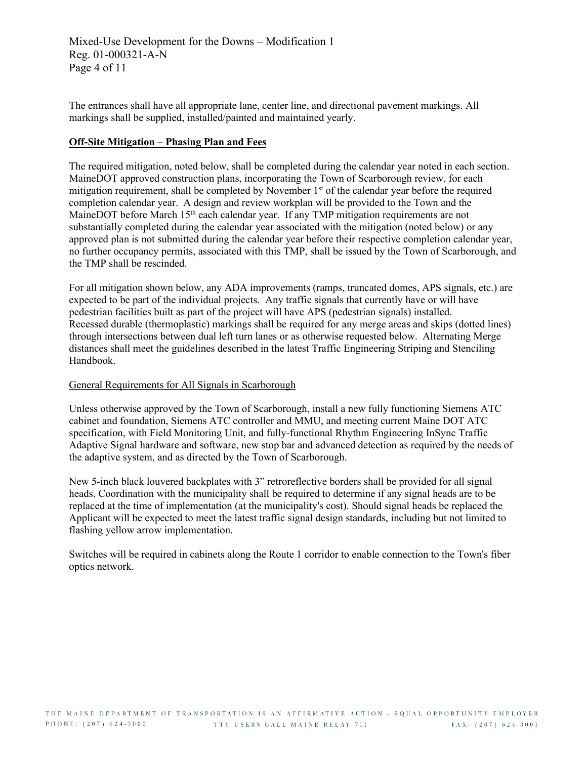Mixed-Use Development for the Downs – Modification 1 Reg. 01-000321-A-N Page 4 of 11

The entrances shall have all appropriate lane, center line, and directional pavement markings. All markings shall be supplied, installed/painted and maintained yearly.

## **Off-Site Mitigation – Phasing Plan and Fees**

The required mitigation, noted below, shall be completed during the calendar year noted in each section. MaineDOT approved construction plans, incorporating the Town of Scarborough review, for each mitigation requirement, shall be completed by November  $1<sup>st</sup>$  of the calendar year before the required completion calendar year. A design and review workplan will be provided to the Town and the MaineDOT before March 15<sup>th</sup> each calendar year. If any TMP mitigation requirements are not substantially completed during the calendar year associated with the mitigation (noted below) or any approved plan is not submitted during the calendar year before their respective completion calendar year, no further occupancy permits, associated with this TMP, shall be issued by the Town of Scarborough, and the TMP shall be rescinded.

For all mitigation shown below, any ADA improvements (ramps, truncated domes, APS signals, etc.) are expected to be part of the individual projects. Any traffic signals that currently have or will have pedestrian facilities built as part of the project will have APS (pedestrian signals) installed. Recessed durable (thermoplastic) markings shall be required for any merge areas and skips (dotted lines) through intersections between dual left turn lanes or as otherwise requested below. Alternating Merge distances shall meet the guidelines described in the latest Traffic Engineering Striping and Stenciling Handbook.

## General Requirements for All Signals in Scarborough

Unless otherwise approved by the Town of Scarborough, install a new fully functioning Siemens ATC cabinet and foundation, Siemens ATC controller and MMU, and meeting current Maine DOT ATC specification, with Field Monitoring Unit, and fully-functional Rhythm Engineering InSync Traffic Adaptive Signal hardware and software, new stop bar and advanced detection as required by the needs of the adaptive system, and as directed by the Town of Scarborough.

New 5-inch black louvered backplates with 3" retroreflective borders shall be provided for all signal heads. Coordination with the municipality shall be required to determine if any signal heads are to be replaced at the time of implementation (at the municipality's cost). Should signal heads be replaced the Applicant will be expected to meet the latest traffic signal design standards, including but not limited to flashing yellow arrow implementation.

Switches will be required in cabinets along the Route 1 corridor to enable connection to the Town's fiber optics network.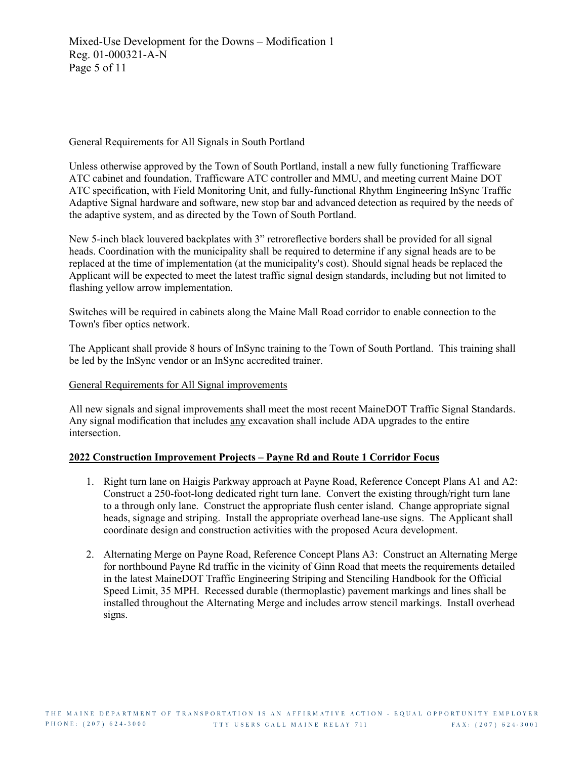## General Requirements for All Signals in South Portland

Unless otherwise approved by the Town of South Portland, install a new fully functioning Trafficware ATC cabinet and foundation, Trafficware ATC controller and MMU, and meeting current Maine DOT ATC specification, with Field Monitoring Unit, and fully-functional Rhythm Engineering InSync Traffic Adaptive Signal hardware and software, new stop bar and advanced detection as required by the needs of the adaptive system, and as directed by the Town of South Portland.

New 5-inch black louvered backplates with 3" retroreflective borders shall be provided for all signal heads. Coordination with the municipality shall be required to determine if any signal heads are to be replaced at the time of implementation (at the municipality's cost). Should signal heads be replaced the Applicant will be expected to meet the latest traffic signal design standards, including but not limited to flashing yellow arrow implementation.

Switches will be required in cabinets along the Maine Mall Road corridor to enable connection to the Town's fiber optics network.

The Applicant shall provide 8 hours of InSync training to the Town of South Portland. This training shall be led by the InSync vendor or an InSync accredited trainer.

## General Requirements for All Signal improvements

All new signals and signal improvements shall meet the most recent MaineDOT Traffic Signal Standards. Any signal modification that includes any excavation shall include ADA upgrades to the entire intersection.

## **2022 Construction Improvement Projects – Payne Rd and Route 1 Corridor Focus**

- 1. Right turn lane on Haigis Parkway approach at Payne Road, Reference Concept Plans A1 and A2: Construct a 250-foot-long dedicated right turn lane. Convert the existing through/right turn lane to a through only lane. Construct the appropriate flush center island. Change appropriate signal heads, signage and striping. Install the appropriate overhead lane-use signs. The Applicant shall coordinate design and construction activities with the proposed Acura development.
- 2. Alternating Merge on Payne Road, Reference Concept Plans A3: Construct an Alternating Merge for northbound Payne Rd traffic in the vicinity of Ginn Road that meets the requirements detailed in the latest MaineDOT Traffic Engineering Striping and Stenciling Handbook for the Official Speed Limit, 35 MPH. Recessed durable (thermoplastic) pavement markings and lines shall be installed throughout the Alternating Merge and includes arrow stencil markings. Install overhead signs.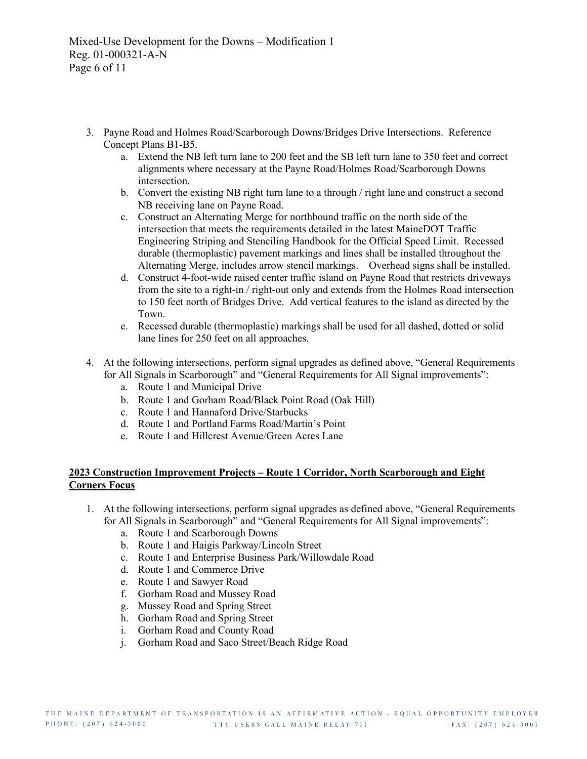- 3. Payne Road and Holmes Road/Scarborough Downs/Bridges Drive Intersections. Reference Concept Plans B1-B5.
	- a. Extend the NB left turn lane to 200 feet and the SB left turn lane to 350 feet and correct alignments where necessary at the Payne Road/Holmes Road/Scarborough Downs intersection.
	- b. Convert the existing NB right turn lane to a through / right lane and construct a second NB receiving lane on Payne Road.
	- c. Construct an Alternating Merge for northbound traffic on the north side of the intersection that meets the requirements detailed in the latest MaineDOT Traffic Engineering Striping and Stenciling Handbook for the Official Speed Limit. Recessed durable (thermoplastic) pavement markings and lines shall be installed throughout the Alternating Merge, includes arrow stencil markings. Overhead signs shall be installed.
	- d. Construct 4-foot-wide raised center traffic island on Payne Road that restricts driveways from the site to a right-in / right-out only and extends from the Holmes Road intersection to 150 feet north of Bridges Drive. Add vertical features to the island as directed by the Town.
	- e. Recessed durable (thermoplastic) markings shall be used for all dashed, dotted or solid lane lines for 250 feet on all approaches.
- 4. At the following intersections, perform signal upgrades as defined above, "General Requirements for All Signals in Scarborough" and "General Requirements for All Signal improvements":
	- a. Route 1 and Municipal Drive
	- b. Route 1 and Gorham Road/Black Point Road (Oak Hill)
	- c. Route 1 and Hannaford Drive/Starbucks
	- d. Route 1 and Portland Farms Road/Martin's Point
	- e. Route 1 and Hillcrest Avenue/Green Acres Lane

## **2023 Construction Improvement Projects – Route 1 Corridor, North Scarborough and Eight Corners Focus**

- 1. At the following intersections, perform signal upgrades as defined above, "General Requirements for All Signals in Scarborough" and "General Requirements for All Signal improvements":
	- a. Route 1 and Scarborough Downs
	- b. Route 1 and Haigis Parkway/Lincoln Street
	- c. Route 1 and Enterprise Business Park/Willowdale Road
	- d. Route 1 and Commerce Drive
	- e. Route 1 and Sawyer Road
	- f. Gorham Road and Mussey Road
	- g. Mussey Road and Spring Street
	- h. Gorham Road and Spring Street
	- i. Gorham Road and County Road
	- j. Gorham Road and Saco Street/Beach Ridge Road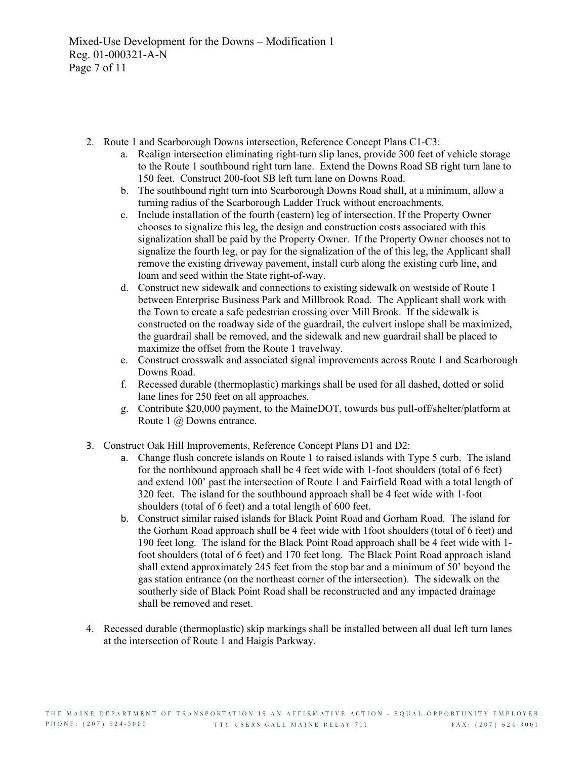- 2. Route 1 and Scarborough Downs intersection, Reference Concept Plans C1-C3:
	- a. Realign intersection eliminating right-turn slip lanes, provide 300 feet of vehicle storage to the Route 1 southbound right turn lane. Extend the Downs Road SB right turn lane to 150 feet. Construct 200-foot SB left turn lane on Downs Road.
	- b. The southbound right turn into Scarborough Downs Road shall, at a minimum, allow a turning radius of the Scarborough Ladder Truck without encroachments.
	- c. Include installation of the fourth (eastern) leg of intersection. If the Property Owner chooses to signalize this leg, the design and construction costs associated with this signalization shall be paid by the Property Owner. If the Property Owner chooses not to signalize the fourth leg, or pay for the signalization of the of this leg, the Applicant shall remove the existing driveway pavement, install curb along the existing curb line, and loam and seed within the State right-of-way.
	- d. Construct new sidewalk and connections to existing sidewalk on westside of Route 1 between Enterprise Business Park and Millbrook Road. The Applicant shall work with the Town to create a safe pedestrian crossing over Mill Brook. If the sidewalk is constructed on the roadway side of the guardrail, the culvert inslope shall be maximized, the guardrail shall be removed, and the sidewalk and new guardrail shall be placed to maximize the offset from the Route 1 travelway.
	- e. Construct crosswalk and associated signal improvements across Route 1 and Scarborough Downs Road.
	- f. Recessed durable (thermoplastic) markings shall be used for all dashed, dotted or solid lane lines for 250 feet on all approaches.
	- g. Contribute \$20,000 payment, to the MaineDOT, towards bus pull-off/shelter/platform at Route 1 @ Downs entrance.
- 3. Construct Oak Hill Improvements, Reference Concept Plans D1 and D2:
	- a. Change flush concrete islands on Route 1 to raised islands with Type 5 curb. The island for the northbound approach shall be 4 feet wide with 1-foot shoulders (total of 6 feet) and extend 100' past the intersection of Route 1 and Fairfield Road with a total length of 320 feet. The island for the southbound approach shall be 4 feet wide with 1-foot shoulders (total of 6 feet) and a total length of 600 feet.
	- b. Construct similar raised islands for Black Point Road and Gorham Road. The island for the Gorham Road approach shall be 4 feet wide with 1foot shoulders (total of 6 feet) and 190 feet long. The island for the Black Point Road approach shall be 4 feet wide with 1 foot shoulders (total of 6 feet) and 170 feet long. The Black Point Road approach island shall extend approximately 245 feet from the stop bar and a minimum of 50' beyond the gas station entrance (on the northeast corner of the intersection). The sidewalk on the southerly side of Black Point Road shall be reconstructed and any impacted drainage shall be removed and reset.
- 4. Recessed durable (thermoplastic) skip markings shall be installed between all dual left turn lanes at the intersection of Route 1 and Haigis Parkway.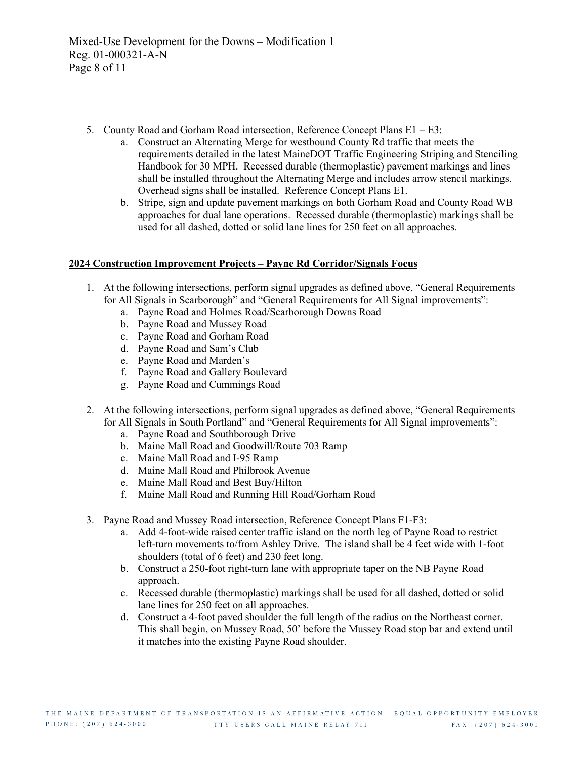- 5. County Road and Gorham Road intersection, Reference Concept Plans E1 E3:
	- a. Construct an Alternating Merge for westbound County Rd traffic that meets the requirements detailed in the latest MaineDOT Traffic Engineering Striping and Stenciling Handbook for 30 MPH. Recessed durable (thermoplastic) pavement markings and lines shall be installed throughout the Alternating Merge and includes arrow stencil markings. Overhead signs shall be installed. Reference Concept Plans E1.
	- b. Stripe, sign and update pavement markings on both Gorham Road and County Road WB approaches for dual lane operations. Recessed durable (thermoplastic) markings shall be used for all dashed, dotted or solid lane lines for 250 feet on all approaches.

# **2024 Construction Improvement Projects – Payne Rd Corridor/Signals Focus**

- 1. At the following intersections, perform signal upgrades as defined above, "General Requirements for All Signals in Scarborough" and "General Requirements for All Signal improvements":
	- a. Payne Road and Holmes Road/Scarborough Downs Road
	- b. Payne Road and Mussey Road
	- c. Payne Road and Gorham Road
	- d. Payne Road and Sam's Club
	- e. Payne Road and Marden's
	- f. Payne Road and Gallery Boulevard
	- g. Payne Road and Cummings Road
- 2. At the following intersections, perform signal upgrades as defined above, "General Requirements for All Signals in South Portland" and "General Requirements for All Signal improvements":
	- a. Payne Road and Southborough Drive
	- b. Maine Mall Road and Goodwill/Route 703 Ramp
	- c. Maine Mall Road and I-95 Ramp
	- d. Maine Mall Road and Philbrook Avenue
	- e. Maine Mall Road and Best Buy/Hilton
	- f. Maine Mall Road and Running Hill Road/Gorham Road
- 3. Payne Road and Mussey Road intersection, Reference Concept Plans F1-F3:
	- a. Add 4-foot-wide raised center traffic island on the north leg of Payne Road to restrict left-turn movements to/from Ashley Drive. The island shall be 4 feet wide with 1-foot shoulders (total of 6 feet) and 230 feet long.
	- b. Construct a 250-foot right-turn lane with appropriate taper on the NB Payne Road approach.
	- c. Recessed durable (thermoplastic) markings shall be used for all dashed, dotted or solid lane lines for 250 feet on all approaches.
	- d. Construct a 4-foot paved shoulder the full length of the radius on the Northeast corner. This shall begin, on Mussey Road, 50' before the Mussey Road stop bar and extend until it matches into the existing Payne Road shoulder.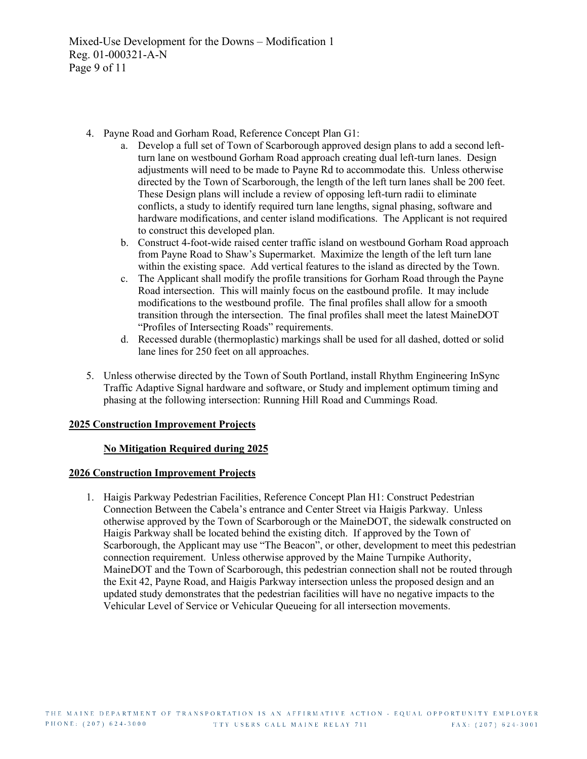- 4. Payne Road and Gorham Road, Reference Concept Plan G1:
	- a. Develop a full set of Town of Scarborough approved design plans to add a second leftturn lane on westbound Gorham Road approach creating dual left-turn lanes. Design adjustments will need to be made to Payne Rd to accommodate this. Unless otherwise directed by the Town of Scarborough, the length of the left turn lanes shall be 200 feet. These Design plans will include a review of opposing left-turn radii to eliminate conflicts, a study to identify required turn lane lengths, signal phasing, software and hardware modifications, and center island modifications. The Applicant is not required to construct this developed plan.
	- b. Construct 4-foot-wide raised center traffic island on westbound Gorham Road approach from Payne Road to Shaw's Supermarket. Maximize the length of the left turn lane within the existing space. Add vertical features to the island as directed by the Town.
	- c. The Applicant shall modify the profile transitions for Gorham Road through the Payne Road intersection. This will mainly focus on the eastbound profile. It may include modifications to the westbound profile. The final profiles shall allow for a smooth transition through the intersection. The final profiles shall meet the latest MaineDOT "Profiles of Intersecting Roads" requirements.
	- d. Recessed durable (thermoplastic) markings shall be used for all dashed, dotted or solid lane lines for 250 feet on all approaches.
- 5. Unless otherwise directed by the Town of South Portland, install Rhythm Engineering InSync Traffic Adaptive Signal hardware and software, or Study and implement optimum timing and phasing at the following intersection: Running Hill Road and Cummings Road.

# **2025 Construction Improvement Projects**

## **No Mitigation Required during 2025**

## **2026 Construction Improvement Projects**

1. Haigis Parkway Pedestrian Facilities, Reference Concept Plan H1: Construct Pedestrian Connection Between the Cabela's entrance and Center Street via Haigis Parkway. Unless otherwise approved by the Town of Scarborough or the MaineDOT, the sidewalk constructed on Haigis Parkway shall be located behind the existing ditch. If approved by the Town of Scarborough, the Applicant may use "The Beacon", or other, development to meet this pedestrian connection requirement. Unless otherwise approved by the Maine Turnpike Authority, MaineDOT and the Town of Scarborough, this pedestrian connection shall not be routed through the Exit 42, Payne Road, and Haigis Parkway intersection unless the proposed design and an updated study demonstrates that the pedestrian facilities will have no negative impacts to the Vehicular Level of Service or Vehicular Queueing for all intersection movements.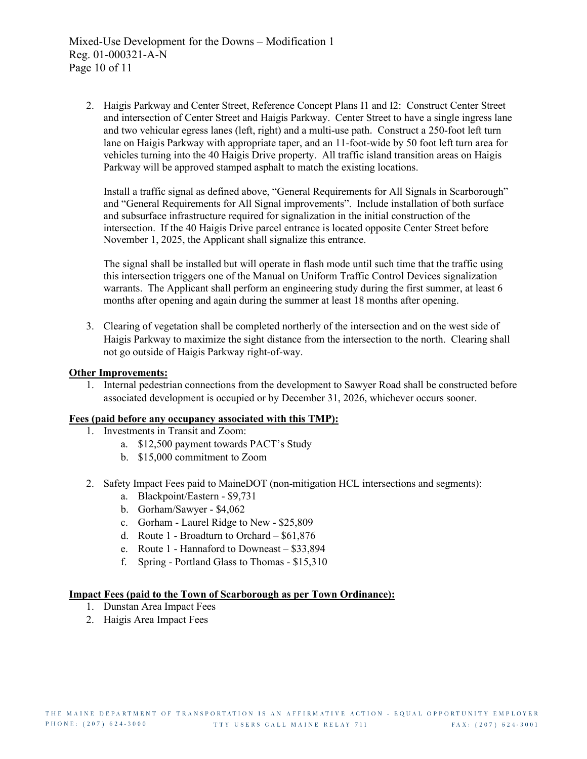2. Haigis Parkway and Center Street, Reference Concept Plans I1 and I2: Construct Center Street and intersection of Center Street and Haigis Parkway. Center Street to have a single ingress lane and two vehicular egress lanes (left, right) and a multi-use path. Construct a 250-foot left turn lane on Haigis Parkway with appropriate taper, and an 11-foot-wide by 50 foot left turn area for vehicles turning into the 40 Haigis Drive property. All traffic island transition areas on Haigis Parkway will be approved stamped asphalt to match the existing locations.

Install a traffic signal as defined above, "General Requirements for All Signals in Scarborough" and "General Requirements for All Signal improvements". Include installation of both surface and subsurface infrastructure required for signalization in the initial construction of the intersection. If the 40 Haigis Drive parcel entrance is located opposite Center Street before November 1, 2025, the Applicant shall signalize this entrance.

The signal shall be installed but will operate in flash mode until such time that the traffic using this intersection triggers one of the Manual on Uniform Traffic Control Devices signalization warrants. The Applicant shall perform an engineering study during the first summer, at least 6 months after opening and again during the summer at least 18 months after opening.

3. Clearing of vegetation shall be completed northerly of the intersection and on the west side of Haigis Parkway to maximize the sight distance from the intersection to the north. Clearing shall not go outside of Haigis Parkway right-of-way.

#### **Other Improvements:**

1. Internal pedestrian connections from the development to Sawyer Road shall be constructed before associated development is occupied or by December 31, 2026, whichever occurs sooner.

#### **Fees (paid before any occupancy associated with this TMP):**

- 1. Investments in Transit and Zoom:
	- a. \$12,500 payment towards PACT's Study
	- b. \$15,000 commitment to Zoom
- 2. Safety Impact Fees paid to MaineDOT (non-mitigation HCL intersections and segments):
	- a. Blackpoint/Eastern \$9,731
	- b. Gorham/Sawyer \$4,062
	- c. Gorham Laurel Ridge to New \$25,809
	- d. Route 1 Broadturn to Orchard \$61,876
	- e. Route 1 Hannaford to Downeast \$33,894
	- f. Spring Portland Glass to Thomas \$15,310

## **Impact Fees (paid to the Town of Scarborough as per Town Ordinance):**

- 1. Dunstan Area Impact Fees
- 2. Haigis Area Impact Fees